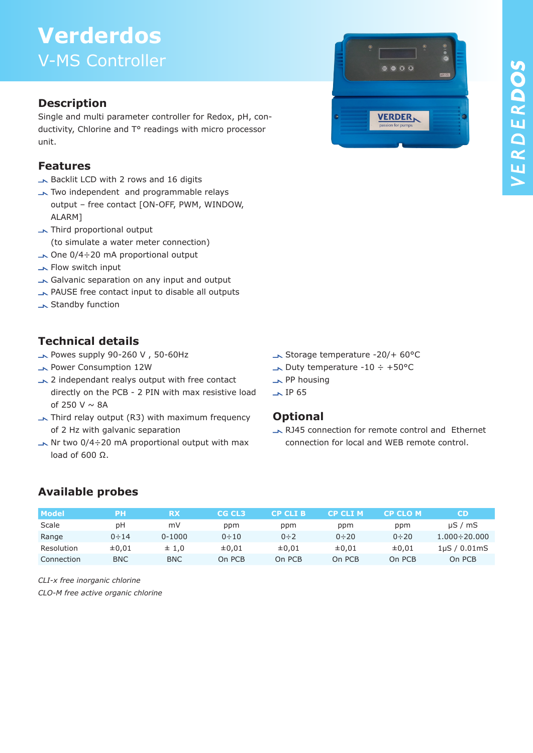# **Verderdos**  V-MS Controller

### **Description**

Single and multi parameter controller for Redox, pH, conductivity, Chlorine and T° readings with micro processor unit.

#### **Features**

- Backlit LCD with 2 rows and 16 digits
- Two independent and programmable relays output – free contact [ON-OFF, PWM, WINDOW, ALARM]
- Third proportional output (to simulate a water meter connection)
- $\sim$  One 0/4÷20 mA proportional output
- **Flow switch input**
- Galvanic separation on any input and output
- PAUSE free contact input to disable all outputs
- **Standby function**

### **Technical details**

- $\rightarrow$  Powes supply 90-260 V, 50-60Hz
- Power Consumption 12W
- 2 independant realys output with free contact directly on the PCB - 2 PIN with max resistive load of 250 V  $\sim$  8A
- $\rightarrow$  Third relay output (R3) with maximum frequency of 2 Hz with galvanic separation
- $\rightarrow$  Nr two 0/4÷20 mA proportional output with max load of 600 Ω.

**VERDER** 

- Storage temperature -20/+ 60°C
- $\rightarrow$  Duty temperature -10 ÷ +50°C
- PP housing
- $\sqrt{IP}$  65

#### **Optional**

RJ45 connection for remote control and Ethernet connection for local and WEB remote control.

### **Available probes**

| <b>Model</b> | PН          | RX         | CG CL3      | CP CLI B   | CP CLI M    | CP CLO M    | CD                  |
|--------------|-------------|------------|-------------|------------|-------------|-------------|---------------------|
| Scale        | рH          | mV         | ppm         | ppm        | ppm         | ppm         | $\mu S / mS$        |
| Range        | $0 \div 14$ | $0 - 1000$ | $0 \div 10$ | $0 \div 2$ | $0 \div 20$ | $0 \div 20$ | $1.000 \div 20.000$ |
| Resolution   | $\pm 0.01$  | $\pm$ 1.0  | $\pm 0.01$  | ±0.01      | ±0.01       | $\pm 0.01$  | $1\mu$ S / 0.01mS   |
| Connection   | <b>BNC</b>  | <b>BNC</b> | On PCB      | On PCB     | On PCB      | On PCB      | On PCB              |

*CLI-x free inorganic chlorine* 

*CLO-M free active organic chlorine*